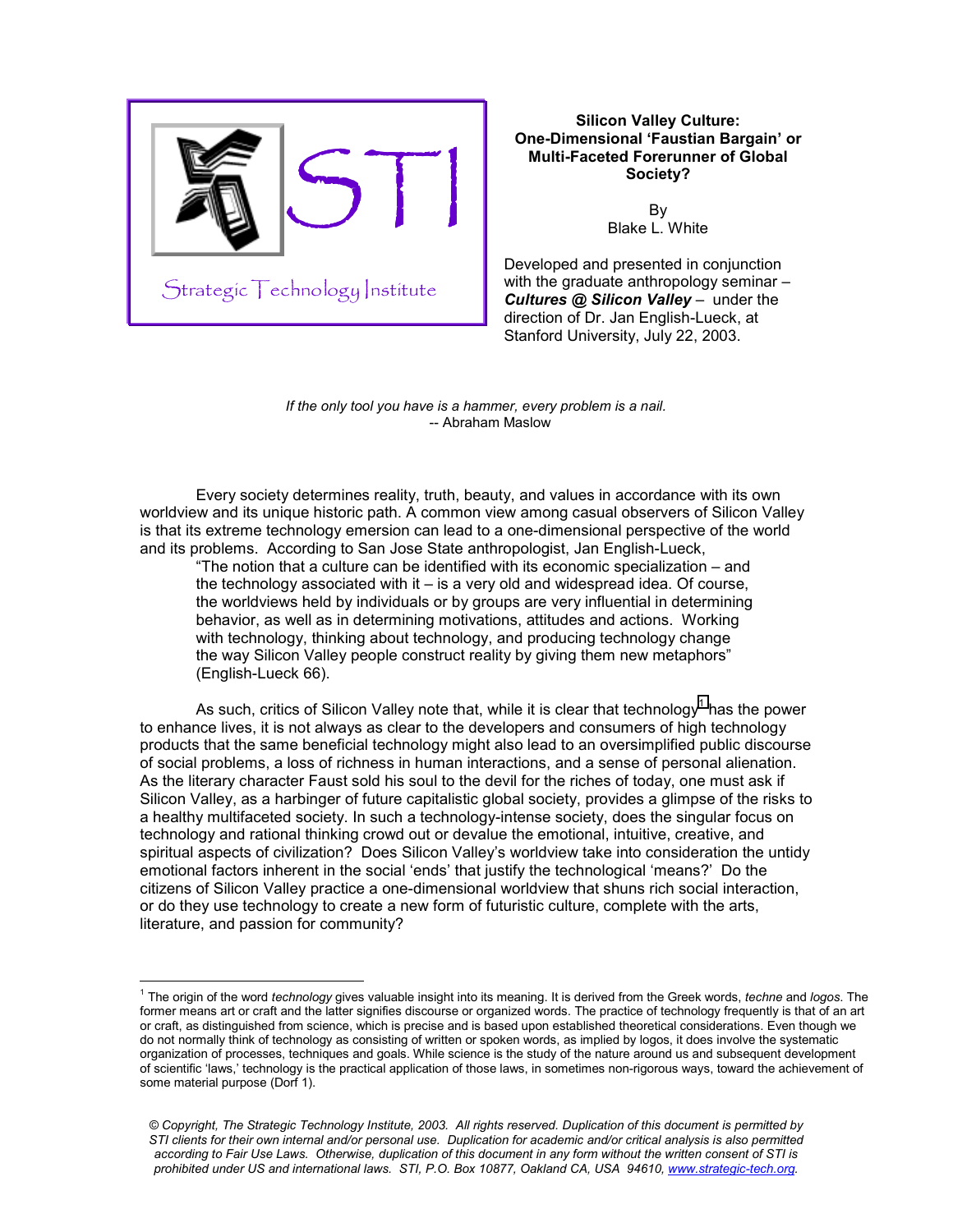

 $\overline{a}$ 

# **Silicon Valley Culture: One-Dimensional 'Faustian Bargain' or Multi-Faceted Forerunner of Global Society?**

By Blake L. White

Developed and presented in conjunction with the graduate anthropology seminar -*Cultures @ Silicon Valley* – under the direction of Dr. Jan English-Lueck, at Stanford University, July 22, 2003.

*If the only tool you have is a hammer, every problem is a nail.*  -- Abraham Maslow

Every society determines reality, truth, beauty, and values in accordance with its own worldview and its unique historic path. A common view among casual observers of Silicon Valley is that its extreme technology emersion can lead to a one-dimensional perspective of the world and its problems. According to San Jose State anthropologist, Jan English-Lueck,

"The notion that a culture can be identified with its economic specialization – and the technology associated with it  $-$  is a very old and widespread idea. Of course, the worldviews held by individuals or by groups are very influential in determining behavior, as well as in determining motivations, attitudes and actions. Working with technology, thinking about technology, and producing technology change the way Silicon Valley people construct reality by giving them new metaphors" (English-Lueck 66).

As such, critics of Silicon Valley note that, while it is clear that technology<sup>1</sup> has the power to enhance lives, it is not always as clear to the developers and consumers of high technology products that the same beneficial technology might also lead to an oversimplified public discourse of social problems, a loss of richness in human interactions, and a sense of personal alienation. As the literary character Faust sold his soul to the devil for the riches of today, one must ask if Silicon Valley, as a harbinger of future capitalistic global society, provides a glimpse of the risks to a healthy multifaceted society. In such a technology-intense society, does the singular focus on technology and rational thinking crowd out or devalue the emotional, intuitive, creative, and spiritual aspects of civilization? Does Silicon Valley's worldview take into consideration the untidy emotional factors inherent in the social 'ends' that justify the technological 'means?' Do the citizens of Silicon Valley practice a one-dimensional worldview that shuns rich social interaction, or do they use technology to create a new form of futuristic culture, complete with the arts, literature, and passion for community?

<sup>1</sup> The origin of the word *technology* gives valuable insight into its meaning. It is derived from the Greek words, *techne* and *logos*. The former means art or craft and the latter signifies discourse or organized words. The practice of technology frequently is that of an art or craft, as distinguished from science, which is precise and is based upon established theoretical considerations. Even though we do not normally think of technology as consisting of written or spoken words, as implied by logos, it does involve the systematic organization of processes, techniques and goals. While science is the study of the nature around us and subsequent development of scientific 'laws,' technology is the practical application of those laws, in sometimes non-rigorous ways, toward the achievement of some material purpose (Dorf 1).

*<sup>©</sup> Copyright, The Strategic Technology Institute, 2003. All rights reserved. Duplication of this document is permitted by STI clients for their own internal and/or personal use. Duplication for academic and/or critical analysis is also permitted according to Fair Use Laws. Otherwise, duplication of this document in any form without the written consent of STI is prohibited under US and international laws. STI, P.O. Box 10877, Oakland CA, USA 94610, www.strategic-tech.org.*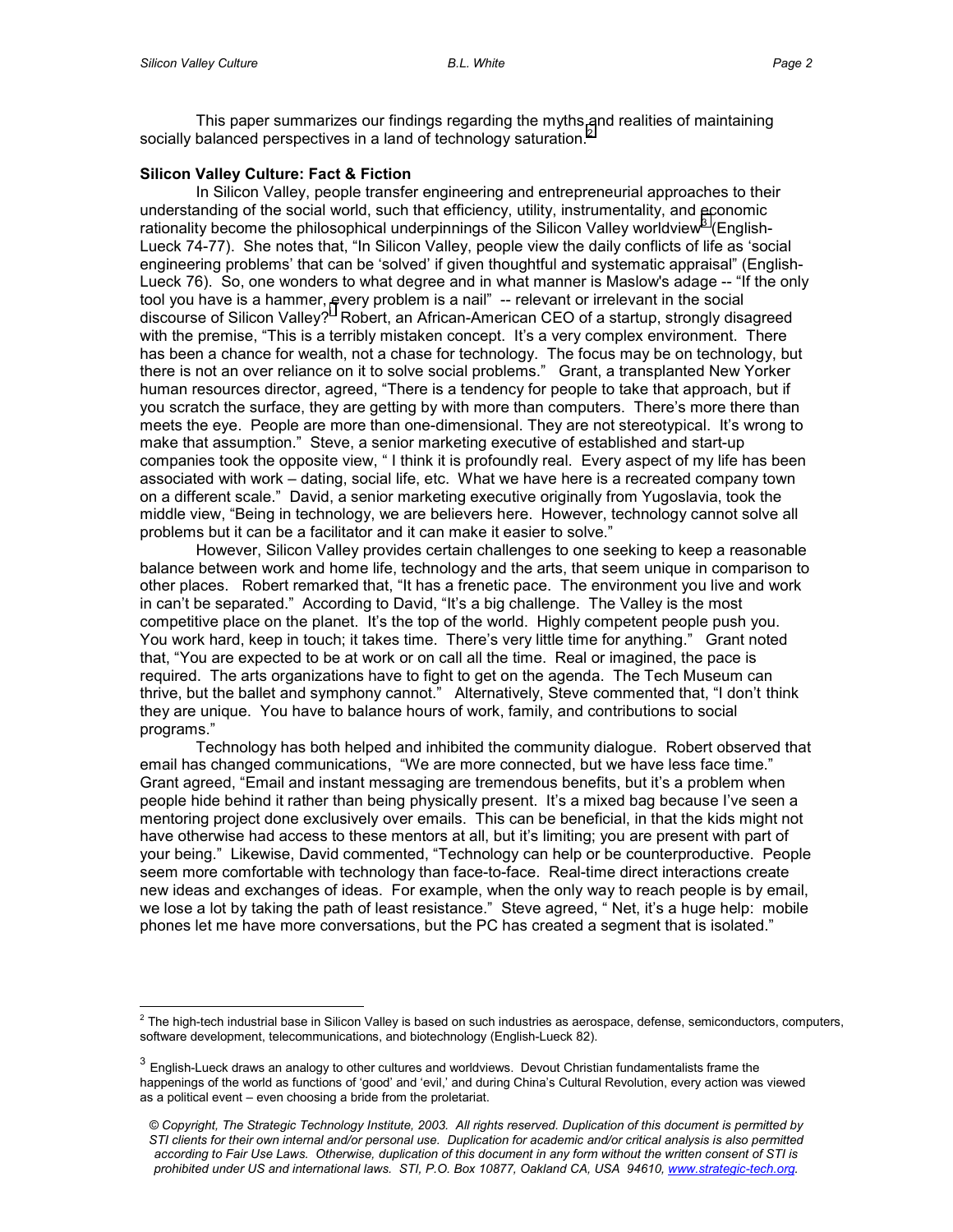This paper summarizes our findings regarding the myths and realities of maintaining socially balanced perspectives in a land of technology saturation. $^2$ 

## **Silicon Valley Culture: Fact & Fiction**

In Silicon Valley, people transfer engineering and entrepreneurial approaches to their understanding of the social world, such that efficiency, utility, instrumentality, and economic rationality become the philosophical underpinnings of the Silicon Valley worldview<sup>3</sup> (English-Lueck 74-77). She notes that, "In Silicon Valley, people view the daily conflicts of life as 'social engineering problems' that can be 'solved' if given thoughtful and systematic appraisal" (English-Lueck 76). So, one wonders to what degree and in what manner is Maslow's adage -- "If the only tool you have is a hammer, [e](#page-10-0)very problem is a nail" -- relevant or irrelevant in the social discourse of Silicon Valley? Robert, an African-American CEO of a startup, strongly disagreed with the premise, "This is a terribly mistaken concept. It's a very complex environment. There has been a chance for wealth, not a chase for technology. The focus may be on technology, but there is not an over reliance on it to solve social problems." Grant, a transplanted New Yorker human resources director, agreed, "There is a tendency for people to take that approach, but if you scratch the surface, they are getting by with more than computers. There's more there than meets the eye. People are more than one-dimensional. They are not stereotypical. It's wrong to make that assumption." Steve, a senior marketing executive of established and start-up companies took the opposite view, " I think it is profoundly real. Every aspect of my life has been associated with work – dating, social life, etc. What we have here is a recreated company town on a different scale." David, a senior marketing executive originally from Yugoslavia, took the middle view, "Being in technology, we are believers here. However, technology cannot solve all problems but it can be a facilitator and it can make it easier to solve."

However, Silicon Valley provides certain challenges to one seeking to keep a reasonable balance between work and home life, technology and the arts, that seem unique in comparison to other places. Robert remarked that, "It has a frenetic pace. The environment you live and work in can't be separated." According to David, "It's a big challenge. The Valley is the most competitive place on the planet. It's the top of the world. Highly competent people push you. You work hard, keep in touch; it takes time. There's very little time for anything." Grant noted that, "You are expected to be at work or on call all the time. Real or imagined, the pace is required. The arts organizations have to fight to get on the agenda. The Tech Museum can thrive, but the ballet and symphony cannot." Alternatively, Steve commented that, "I don't think they are unique. You have to balance hours of work, family, and contributions to social programs."

Technology has both helped and inhibited the community dialogue. Robert observed that email has changed communications, "We are more connected, but we have less face time." Grant agreed, "Email and instant messaging are tremendous benefits, but it's a problem when people hide behind it rather than being physically present. It's a mixed bag because I've seen a mentoring project done exclusively over emails. This can be beneficial, in that the kids might not have otherwise had access to these mentors at all, but it's limiting; you are present with part of your being." Likewise, David commented, "Technology can help or be counterproductive. People seem more comfortable with technology than face-to-face. Real-time direct interactions create new ideas and exchanges of ideas. For example, when the only way to reach people is by email, we lose a lot by taking the path of least resistance." Steve agreed, " Net, it's a huge help: mobile phones let me have more conversations, but the PC has created a segment that is isolated."

 $\overline{a}$  $^2$  The high-tech industrial base in Silicon Valley is based on such industries as aerospace, defense, semiconductors, computers, software development, telecommunications, and biotechnology (English-Lueck 82).

 $3$  English-Lueck draws an analogy to other cultures and worldviews. Devout Christian fundamentalists frame the happenings of the world as functions of 'good' and 'evil,' and during China's Cultural Revolution, every action was viewed as a political event – even choosing a bride from the proletariat.

*<sup>©</sup> Copyright, The Strategic Technology Institute, 2003. All rights reserved. Duplication of this document is permitted by STI clients for their own internal and/or personal use. Duplication for academic and/or critical analysis is also permitted according to Fair Use Laws. Otherwise, duplication of this document in any form without the written consent of STI is prohibited under US and international laws. STI, P.O. Box 10877, Oakland CA, USA 94610, www.strategic-tech.org.*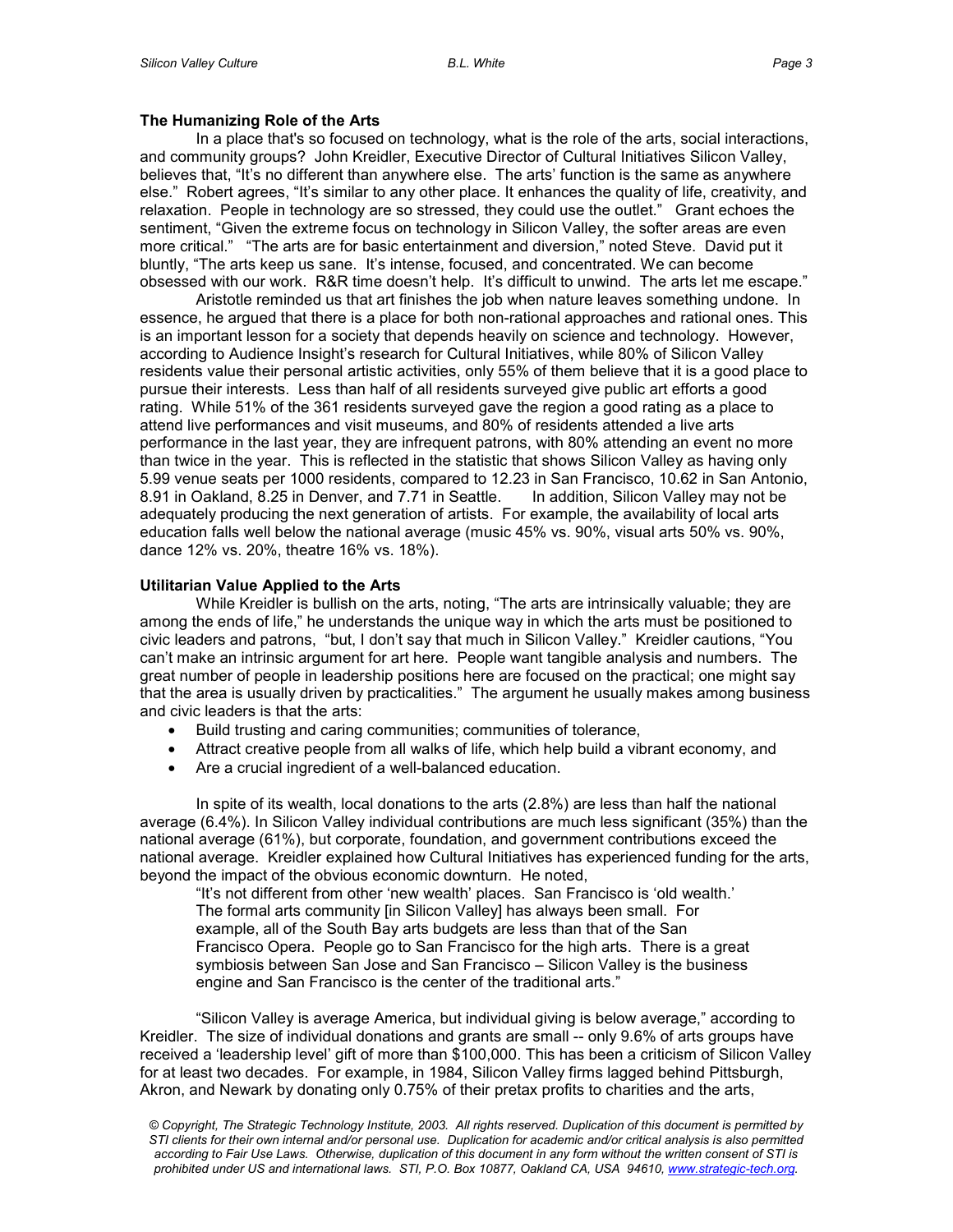### **The Humanizing Role of the Arts**

In a place that's so focused on technology, what is the role of the arts, social interactions, and community groups? John Kreidler, Executive Director of Cultural Initiatives Silicon Valley, believes that, "It's no different than anywhere else. The arts' function is the same as anywhere else." Robert agrees, "It's similar to any other place. It enhances the quality of life, creativity, and relaxation. People in technology are so stressed, they could use the outlet." Grant echoes the sentiment, "Given the extreme focus on technology in Silicon Valley, the softer areas are even more critical." "The arts are for basic entertainment and diversion," noted Steve. David put it bluntly, "The arts keep us sane. It's intense, focused, and concentrated. We can become obsessed with our work. R&R time doesn't help. It's difficult to unwind. The arts let me escape."

Aristotle reminded us that art finishes the job when nature leaves something undone. In essence, he argued that there is a place for both non-rational approaches and rational ones. This is an important lesson for a society that depends heavily on science and technology. However, according to Audience Insight's research for Cultural Initiatives, while 80% of Silicon Valley residents value their personal artistic activities, only 55% of them believe that it is a good place to pursue their interests. Less than half of all residents surveyed give public art efforts a good rating. While 51% of the 361 residents surveyed gave the region a good rating as a place to attend live performances and visit museums, and 80% of residents attended a live arts performance in the last year, they are infrequent patrons, with 80% attending an event no more than twice in the year. This is reflected in the statistic that shows Silicon Valley as having only 5.99 venue seats per 1000 residents, compared to 12.23 in San Francisco, 10.62 in San Antonio, 8.91 in Oakland, 8.25 in Denver, and 7.71 in Seattle. In addition, Silicon Valley may not be adequately producing the next generation of artists. For example, the availability of local arts education falls well below the national average (music 45% vs. 90%, visual arts 50% vs. 90%, dance 12% vs. 20%, theatre 16% vs. 18%).

### **Utilitarian Value Applied to the Arts**

While Kreidler is bullish on the arts, noting, "The arts are intrinsically valuable; they are among the ends of life," he understands the unique way in which the arts must be positioned to civic leaders and patrons, "but, I don't say that much in Silicon Valley." Kreidler cautions, "You can't make an intrinsic argument for art here. People want tangible analysis and numbers. The great number of people in leadership positions here are focused on the practical; one might say that the area is usually driven by practicalities." The argument he usually makes among business and civic leaders is that the arts:

- Build trusting and caring communities; communities of tolerance,
- Attract creative people from all walks of life, which help build a vibrant economy, and
- Are a crucial ingredient of a well-balanced education.

In spite of its wealth, local donations to the arts (2.8%) are less than half the national average (6.4%). In Silicon Valley individual contributions are much less significant (35%) than the national average (61%), but corporate, foundation, and government contributions exceed the national average. Kreidler explained how Cultural Initiatives has experienced funding for the arts, beyond the impact of the obvious economic downturn. He noted,

"It's not different from other 'new wealth' places. San Francisco is 'old wealth.' The formal arts community [in Silicon Valley] has always been small. For example, all of the South Bay arts budgets are less than that of the San Francisco Opera. People go to San Francisco for the high arts. There is a great symbiosis between San Jose and San Francisco – Silicon Valley is the business engine and San Francisco is the center of the traditional arts."

"Silicon Valley is average America, but individual giving is below average," according to Kreidler. The size of individual donations and grants are small -- only 9.6% of arts groups have received a 'leadership level' gift of more than \$100,000. This has been a criticism of Silicon Valley for at least two decades. For example, in 1984, Silicon Valley firms lagged behind Pittsburgh, Akron, and Newark by donating only 0.75% of their pretax profits to charities and the arts,

*<sup>©</sup> Copyright, The Strategic Technology Institute, 2003. All rights reserved. Duplication of this document is permitted by STI clients for their own internal and/or personal use. Duplication for academic and/or critical analysis is also permitted according to Fair Use Laws. Otherwise, duplication of this document in any form without the written consent of STI is prohibited under US and international laws. STI, P.O. Box 10877, Oakland CA, USA 94610, www.strategic-tech.org.*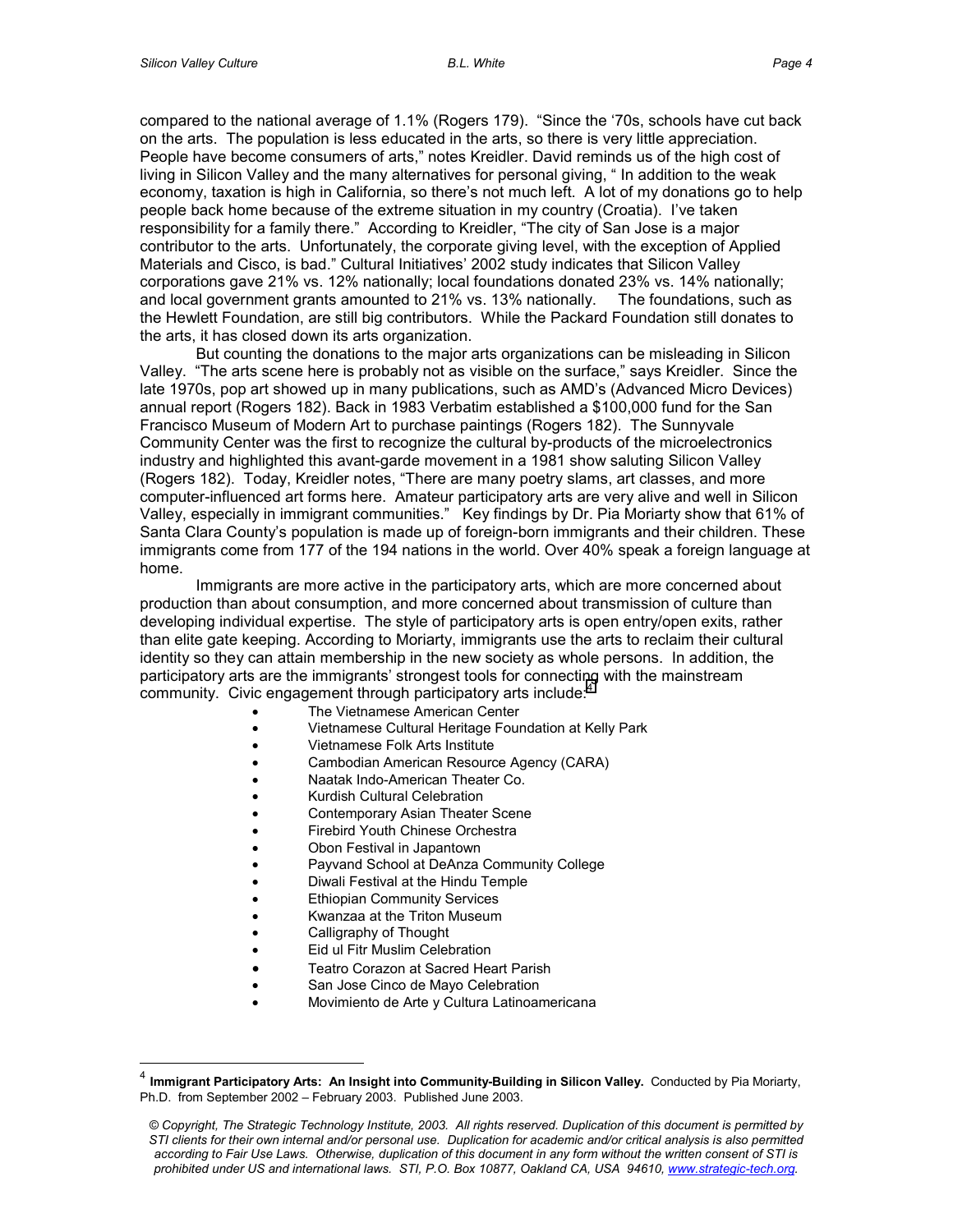compared to the national average of 1.1% (Rogers 179). "Since the '70s, schools have cut back on the arts. The population is less educated in the arts, so there is very little appreciation. People have become consumers of arts," notes Kreidler. David reminds us of the high cost of living in Silicon Valley and the many alternatives for personal giving, " In addition to the weak economy, taxation is high in California, so there's not much left. A lot of my donations go to help people back home because of the extreme situation in my country (Croatia). I've taken responsibility for a family there." According to Kreidler, "The city of San Jose is a major contributor to the arts. Unfortunately, the corporate giving level, with the exception of Applied Materials and Cisco, is bad." Cultural Initiatives' 2002 study indicates that Silicon Valley corporations gave 21% vs. 12% nationally; local foundations donated 23% vs. 14% nationally; and local government grants amounted to 21% vs. 13% nationally. The foundations, such as the Hewlett Foundation, are still big contributors. While the Packard Foundation still donates to the arts, it has closed down its arts organization.

But counting the donations to the major arts organizations can be misleading in Silicon Valley. "The arts scene here is probably not as visible on the surface," says Kreidler. Since the late 1970s, pop art showed up in many publications, such as AMD's (Advanced Micro Devices) annual report (Rogers 182). Back in 1983 Verbatim established a \$100,000 fund for the San Francisco Museum of Modern Art to purchase paintings (Rogers 182). The Sunnyvale Community Center was the first to recognize the cultural by-products of the microelectronics industry and highlighted this avant-garde movement in a 1981 show saluting Silicon Valley (Rogers 182). Today, Kreidler notes, "There are many poetry slams, art classes, and more computer-influenced art forms here. Amateur participatory arts are very alive and well in Silicon Valley, especially in immigrant communities." Key findings by Dr. Pia Moriarty show that 61% of Santa Clara County's population is made up of foreign-born immigrants and their children. These immigrants come from 177 of the 194 nations in the world. Over 40% speak a foreign language at home.

Immigrants are more active in the participatory arts, which are more concerned about production than about consumption, and more concerned about transmission of culture than developing individual expertise. The style of participatory arts is open entry/open exits, rather than elite gate keeping. According to Moriarty, immigrants use the arts to reclaim their cultural identity so they can attain membership in the new society as whole persons. In addition, the participatory arts are the immigrants' strongest tools for connecting with the mainstream community. Civic engagement through participatory arts include:<sup>4</sup>

- The Vietnamese American Center
- Vietnamese Cultural Heritage Foundation at Kelly Park
- Vietnamese Folk Arts Institute
- Cambodian American Resource Agency (CARA)
- Naatak Indo-American Theater Co.
- Kurdish Cultural Celebration
- Contemporary Asian Theater Scene
- Firebird Youth Chinese Orchestra
- Obon Festival in Japantown
- Payvand School at DeAnza Community College
- Diwali Festival at the Hindu Temple
- **Ethiopian Community Services**
- Kwanzaa at the Triton Museum
- Calligraphy of Thought

 $\overline{a}$ 

- Eid ul Fitr Muslim Celebration
- Teatro Corazon at Sacred Heart Parish
- San Jose Cinco de Mayo Celebration
- Movimiento de Arte y Cultura Latinoamericana

<sup>4</sup> **Immigrant Participatory Arts: An Insight into Community-Building in Silicon Valley.** Conducted by Pia Moriarty, Ph.D. from September 2002 – February 2003. Published June 2003.

*<sup>©</sup> Copyright, The Strategic Technology Institute, 2003. All rights reserved. Duplication of this document is permitted by STI clients for their own internal and/or personal use. Duplication for academic and/or critical analysis is also permitted according to Fair Use Laws. Otherwise, duplication of this document in any form without the written consent of STI is prohibited under US and international laws. STI, P.O. Box 10877, Oakland CA, USA 94610, www.strategic-tech.org.*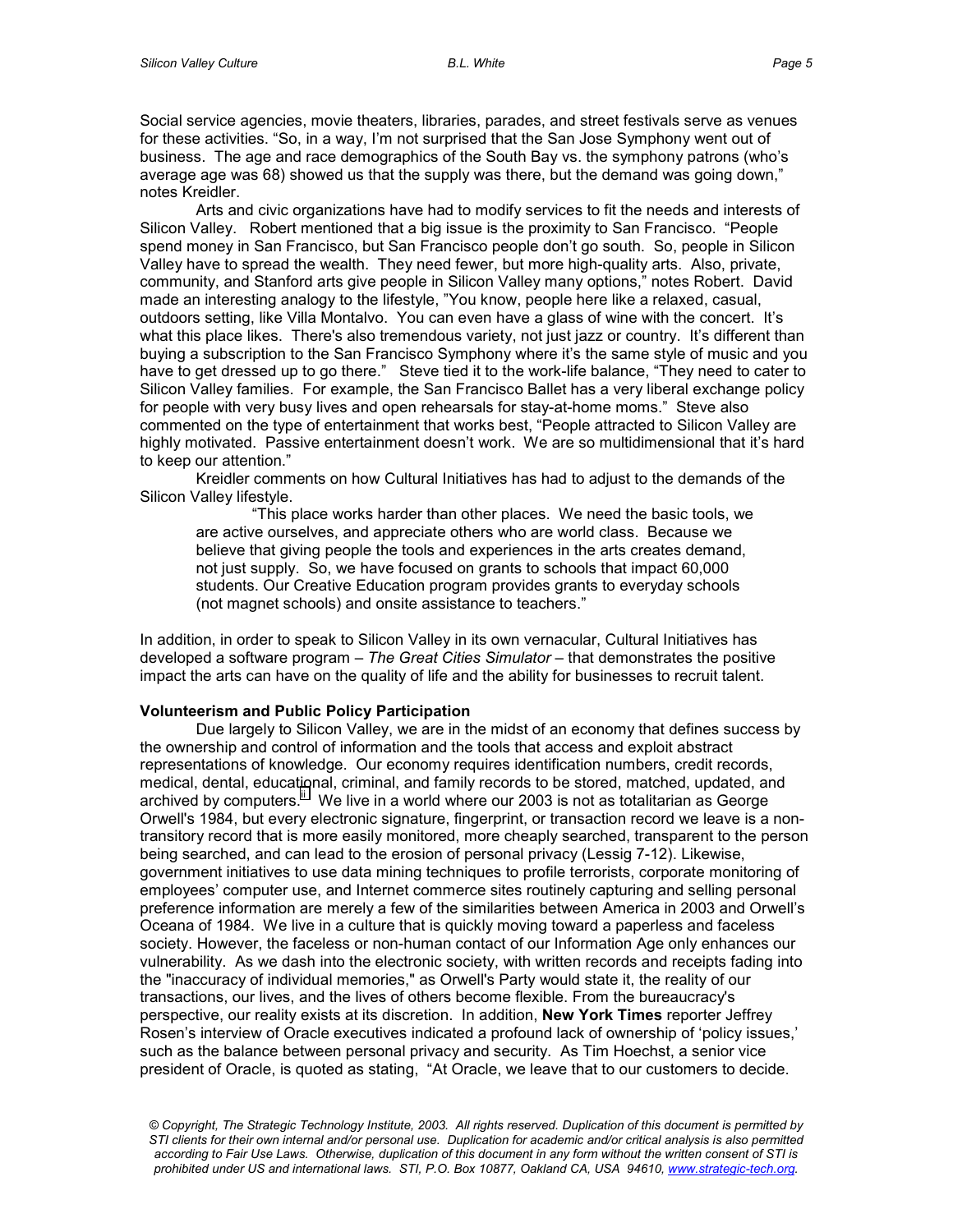Social service agencies, movie theaters, libraries, parades, and street festivals serve as venues for these activities. "So, in a way, I'm not surprised that the San Jose Symphony went out of business. The age and race demographics of the South Bay vs. the symphony patrons (who's average age was 68) showed us that the supply was there, but the demand was going down," notes Kreidler.

Arts and civic organizations have had to modify services to fit the needs and interests of Silicon Valley. Robert mentioned that a big issue is the proximity to San Francisco. "People spend money in San Francisco, but San Francisco people don't go south. So, people in Silicon Valley have to spread the wealth. They need fewer, but more high-quality arts. Also, private, community, and Stanford arts give people in Silicon Valley many options," notes Robert. David made an interesting analogy to the lifestyle, "You know, people here like a relaxed, casual, outdoors setting, like Villa Montalvo. You can even have a glass of wine with the concert. It's what this place likes. There's also tremendous variety, not just jazz or country. It's different than buying a subscription to the San Francisco Symphony where it's the same style of music and you have to get dressed up to go there." Steve tied it to the work-life balance, "They need to cater to Silicon Valley families. For example, the San Francisco Ballet has a very liberal exchange policy for people with very busy lives and open rehearsals for stay-at-home moms." Steve also commented on the type of entertainment that works best, "People attracted to Silicon Valley are highly motivated. Passive entertainment doesn't work. We are so multidimensional that it's hard to keep our attention."

Kreidler comments on how Cultural Initiatives has had to adjust to the demands of the Silicon Valley lifestyle.

"This place works harder than other places. We need the basic tools, we are active ourselves, and appreciate others who are world class. Because we believe that giving people the tools and experiences in the arts creates demand, not just supply. So, we have focused on grants to schools that impact 60,000 students. Our Creative Education program provides grants to everyday schools (not magnet schools) and onsite assistance to teachers."

In addition, in order to speak to Silicon Valley in its own vernacular, Cultural Initiatives has developed a software program – *The Great Cities Simulator* – that demonstrates the positive impact the arts can have on the quality of life and the ability for businesses to recruit talent.

### **Volunteerism and Public Policy Participation**

Due largely to Silicon Valley, we are in the midst of an economy that defines success by the ownership and control of information and the tools that access and exploit abstract representations of knowledge. Our economy requires identification numbers, credit records, medical, dental, educational, criminal, and family records to be stored, matched, updated, and archived by computers. We live in a world where our 2003 is not as totalitarian as George Orwell's 1984, but every electronic signature, fingerprint, or transaction record we leave is a nontransitory record that is more easily monitored, more cheaply searched, transparent to the person being searched, and can lead to the erosion of personal privacy (Lessig 7-12). Likewise, government initiatives to use data mining techniques to profile terrorists, corporate monitoring of employees' computer use, and Internet commerce sites routinely capturing and selling personal preference information are merely a few of the similarities between America in 2003 and Orwell's Oceana of 1984. We live in a culture that is quickly moving toward a paperless and faceless society. However, the faceless or non-human contact of our Information Age only enhances our vulnerability. As we dash into the electronic society, with written records and receipts fading into the "inaccuracy of individual memories," as Orwell's Party would state it, the reality of our transactions, our lives, and the lives of others become flexible. From the bureaucracy's perspective, our reality exists at its discretion. In addition, **New York Times** reporter Jeffrey Rosen's interview of Oracle executives indicated a profound lack of ownership of 'policy issues,' such as the balance between personal privacy and security. As Tim Hoechst, a senior vice president of Oracle, is quoted as stating, "At Oracle, we leave that to our customers to decide.

*<sup>©</sup> Copyright, The Strategic Technology Institute, 2003. All rights reserved. Duplication of this document is permitted by STI clients for their own internal and/or personal use. Duplication for academic and/or critical analysis is also permitted according to Fair Use Laws. Otherwise, duplication of this document in any form without the written consent of STI is prohibited under US and international laws. STI, P.O. Box 10877, Oakland CA, USA 94610, www.strategic-tech.org.*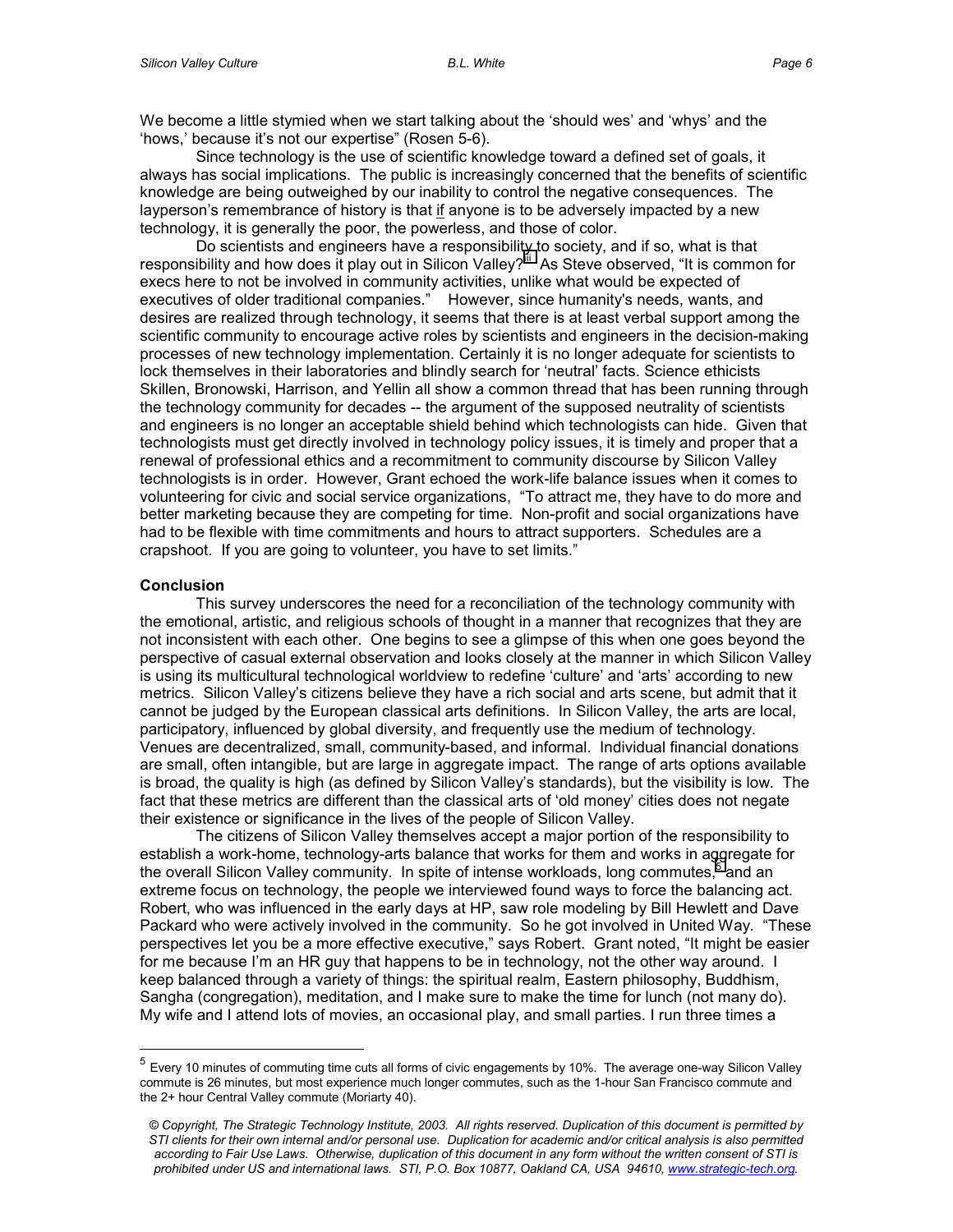We become a little stymied when we start talking about the 'should wes' and 'whys' and the 'hows,' because it's not our expertise" (Rosen 5-6).

Since technology is the use of scientific knowledge toward a defined set of goals, it always has social implications. The public is increasingly concerned that the benefits of scientific knowledge are being outweighed by our inability to control the negative consequences. The layperson's remembrance of history is that if anyone is to be adversely impacted by a new technology, it is generally the poor, the powerless, and those of color.

Do scientists and engineers have a responsibility to society, and if so, what is that responsibility and how does it play out in Silicon Valley?<sup>"</sup> As Steve observed, "It is common for execs here to not be involved in community activities, unlike what would be expected of executives of older traditional companies." However, since humanity's needs, wants, and desires are realized through technology, it seems that there is at least verbal support among the scientific community to encourage active roles by scientists and engineers in the decision-making processes of new technology implementation. Certainly it is no longer adequate for scientists to lock themselves in their laboratories and blindly search for 'neutral' facts. Science ethicists Skillen, Bronowski, Harrison, and Yellin all show a common thread that has been running through the technology community for decades -- the argument of the supposed neutrality of scientists and engineers is no longer an acceptable shield behind which technologists can hide. Given that technologists must get directly involved in technology policy issues, it is timely and proper that a renewal of professional ethics and a recommitment to community discourse by Silicon Valley technologists is in order. However, Grant echoed the work-life balance issues when it comes to volunteering for civic and social service organizations, "To attract me, they have to do more and better marketing because they are competing for time. Non-profit and social organizations have had to be flexible with time commitments and hours to attract supporters. Schedules are a crapshoot. If you are going to volunteer, you have to set limits."

#### **Conclusion**

 $\overline{a}$ 

This survey underscores the need for a reconciliation of the technology community with the emotional, artistic, and religious schools of thought in a manner that recognizes that they are not inconsistent with each other. One begins to see a glimpse of this when one goes beyond the perspective of casual external observation and looks closely at the manner in which Silicon Valley is using its multicultural technological worldview to redefine 'culture' and 'arts' according to new metrics. Silicon Valley's citizens believe they have a rich social and arts scene, but admit that it cannot be judged by the European classical arts definitions. In Silicon Valley, the arts are local, participatory, influenced by global diversity, and frequently use the medium of technology. Venues are decentralized, small, community-based, and informal. Individual financial donations are small, often intangible, but are large in aggregate impact. The range of arts options available is broad, the quality is high (as defined by Silicon Valley's standards), but the visibility is low. The fact that these metrics are different than the classical arts of 'old money' cities does not negate their existence or significance in the lives of the people of Silicon Valley.

The citizens of Silicon Valley themselves accept a major portion of the responsibility to establish a work-home, technology-arts balance that works for them and works in aggregate for the overall Silicon Valley community. In spite of intense workloads, long commutes,<sup>5</sup> and an extreme focus on technology, the people we interviewed found ways to force the balancing act. Robert, who was influenced in the early days at HP, saw role modeling by Bill Hewlett and Dave Packard who were actively involved in the community. So he got involved in United Way. "These perspectives let you be a more effective executive," says Robert. Grant noted, "It might be easier for me because I'm an HR guy that happens to be in technology, not the other way around. I keep balanced through a variety of things: the spiritual realm, Eastern philosophy, Buddhism, Sangha (congregation), meditation, and I make sure to make the time for lunch (not many do). My wife and I attend lots of movies, an occasional play, and small parties. I run three times a

 $<sup>5</sup>$  Every 10 minutes of commuting time cuts all forms of civic engagements by 10%. The average one-way Silicon Valley</sup> commute is 26 minutes, but most experience much longer commutes, such as the 1-hour San Francisco commute and the 2+ hour Central Valley commute (Moriarty 40).

*<sup>©</sup> Copyright, The Strategic Technology Institute, 2003. All rights reserved. Duplication of this document is permitted by STI clients for their own internal and/or personal use. Duplication for academic and/or critical analysis is also permitted according to Fair Use Laws. Otherwise, duplication of this document in any form without the written consent of STI is prohibited under US and international laws. STI, P.O. Box 10877, Oakland CA, USA 94610, www.strategic-tech.org.*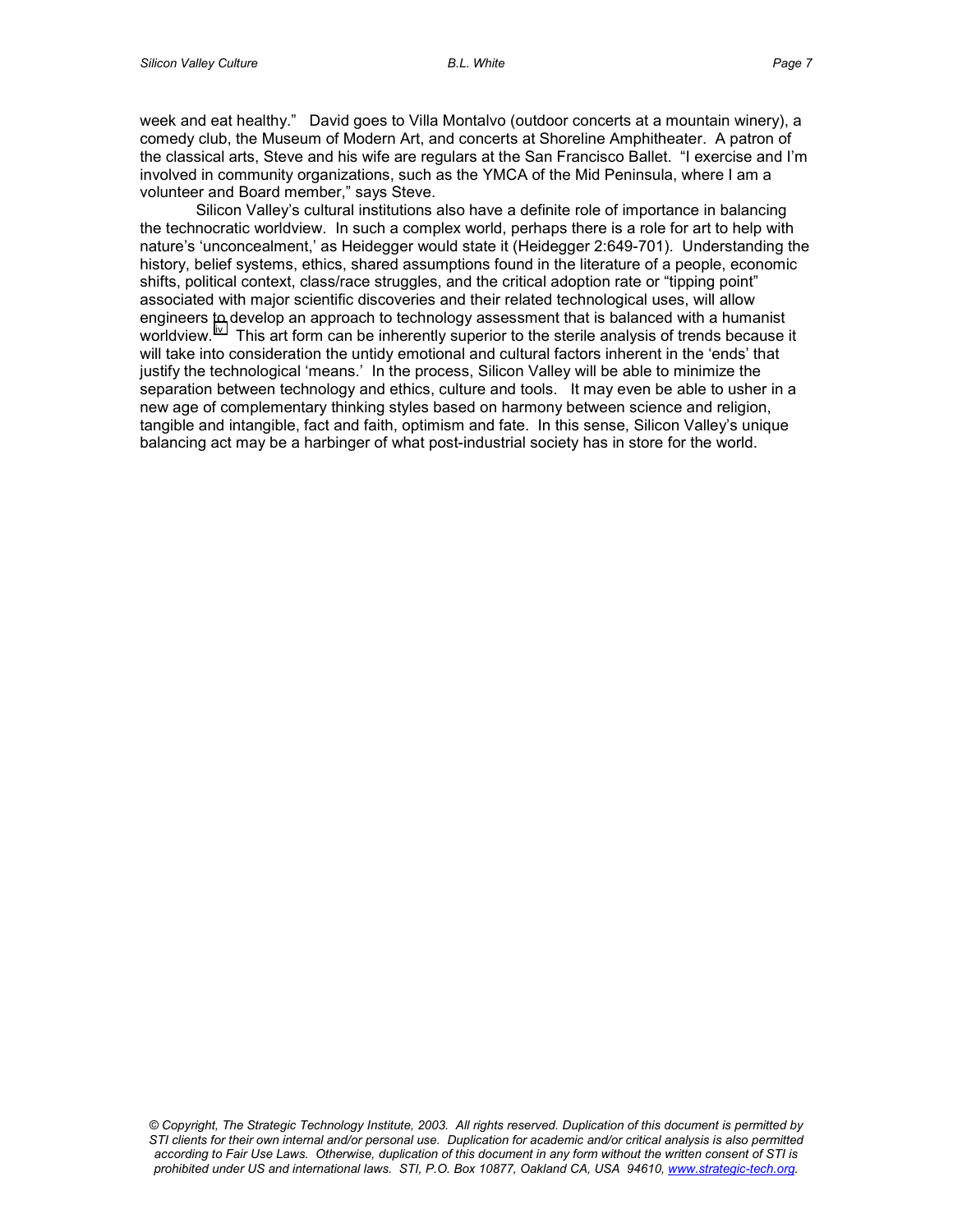week and eat healthy." David goes to Villa Montalvo (outdoor concerts at a mountain winery), a comedy club, the Museum of Modern Art, and concerts at Shoreline Amphitheater. A patron of the classical arts, Steve and his wife are regulars at the San Francisco Ballet. "I exercise and I'm involved in community organizations, such as the YMCA of the Mid Peninsula, where I am a volunteer and Board member," says Steve.

Silicon Valley's cultural institutions also have a definite role of importance in balancing the technocratic worldview. In such a complex world, perhaps there is a role for art to help with nature's 'unconcealment,' as Heidegger would state it (Heidegger 2:649-701).Understanding the history, belief systems, ethics, shared assumptions found in the literature of a people, economic shifts, political context, class/race struggles, and the critical adoption rate or "tipping point" associated with major scientific discoveries and their related technological uses, will allow engineers to develop an approach to technology assessment that is balanced with a humanist worldview. <sup>iv</sup> This art form can be inherently superior to the sterile analysis of trends because it will take into consideration the untidy emotional and cultural factors inherent in the 'ends' that justify the technological 'means.' In the process, Silicon Valley will be able to minimize the separation between technology and ethics, culture and tools. It may even be able to usher in a new age of complementary thinking styles based on harmony between science and religion, tangible and intangible, fact and faith, optimism and fate. In this sense, Silicon Valley's unique balancing act may be a harbinger of what post-industrial society has in store for the world.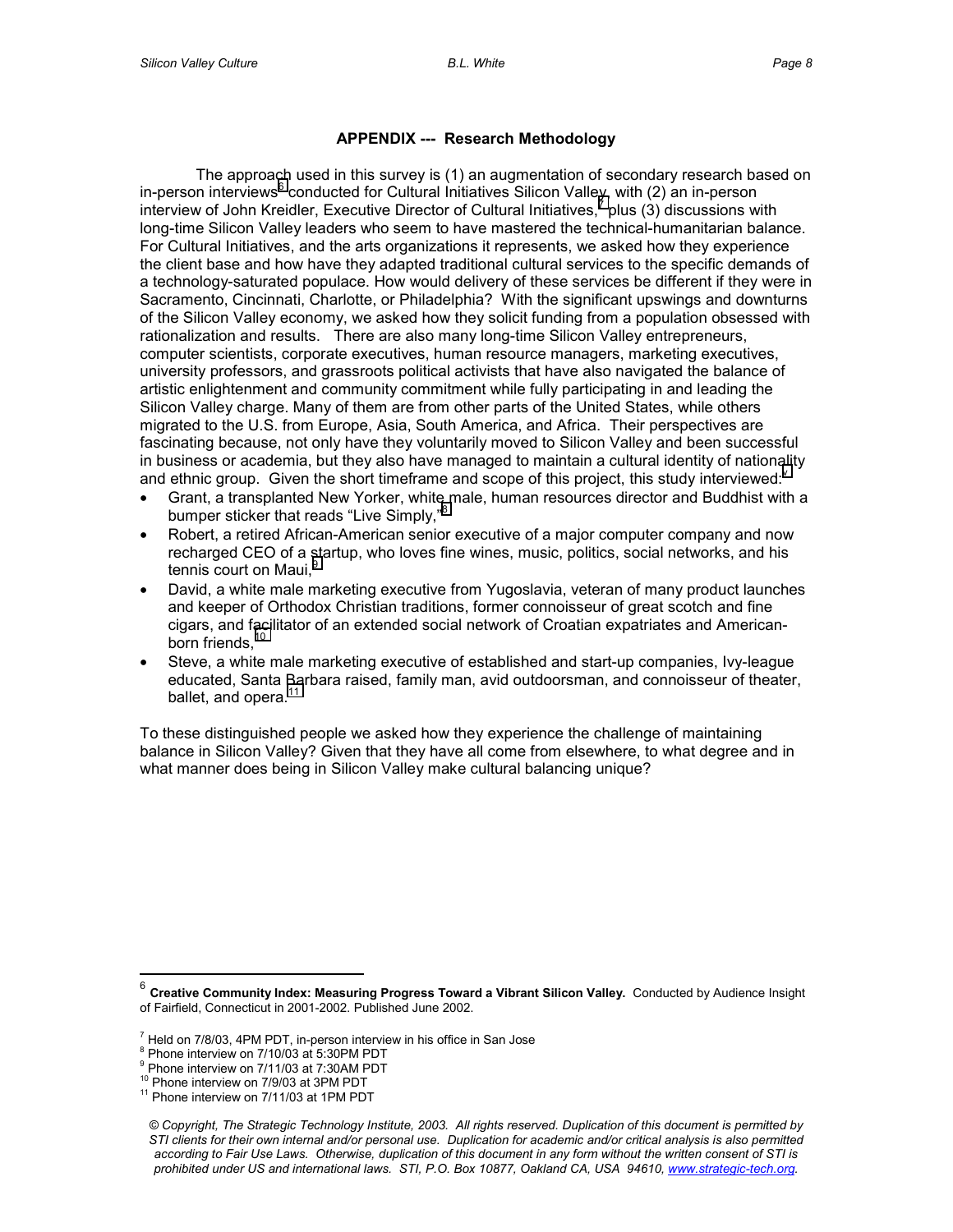## **APPENDIX --- Research Methodology**

The approach used in this survey is (1) an augmentation of secondary research based on in-person interviews<sup>6</sup> conducted for Cultural Initiatives Silicon Valley, with (2) an in-person interview of John Kreidler, Executive Director of Cultural Initiatives,<sup>7</sup> plus (3) discussions with long-time Silicon Valley leaders who seem to have mastered the technical-humanitarian balance. For Cultural Initiatives, and the arts organizations it represents, we asked how they experience the client base and how have they adapted traditional cultural services to the specific demands of a technology-saturated populace. How would delivery of these services be different if they were in Sacramento, Cincinnati, Charlotte, or Philadelphia? With the significant upswings and downturns of the Silicon Valley economy, we asked how they solicit funding from a population obsessed with rationalization and results. There are also many long-time Silicon Valley entrepreneurs, computer scientists, corporate executives, human resource managers, marketing executives, university professors, and grassroots political activists that have also navigated the balance of artistic enlightenment and community commitment while fully participating in and leading the Silicon Valley charge. Many of them are from other parts of the United States, while others migrated to the U.S. from Europe, Asia, South America, and Africa. Their perspectives are fascinating because, not only have they voluntarily moved to Silicon Valley and been successful in business or academia, but they also have managed to maintain a cultural identity of nationality and ethnic group. Gi[v](#page-10-0)en the short timeframe and scope of this project, this study interviewed:<sup>v</sup>

- Grant, a transplanted New Yorker, white male, human resources director and Buddhist with a bumper sticker that reads "Live Simply,"<sup>8</sup>
- Robert, a retired African-American senior executive of a major computer company and now recharged CEO of a startup, who loves fine wines, music, politics, social networks, and his tennis court on Maui,<sup>9</sup>
- David, a white male marketing executive from Yugoslavia, veteran of many product launches and keeper of Orthodox Christian traditions, former connoisseur of great scotch and fine cigars, and facilitator of an extended social network of Croatian expatriates and Americanborn friends, $10$
- Steve, a white male marketing executive of established and start-up companies, Ivy-league educated, Santa Barbara raised, family man, avid outdoorsman, and connoisseur of theater, ballet, and opera.<sup>11</sup>

To these distinguished people we asked how they experience the challenge of maintaining balance in Silicon Valley? Given that they have all come from elsewhere, to what degree and in what manner does being in Silicon Valley make cultural balancing unique?

 $\overline{a}$ 

<sup>6</sup> **Creative Community Index: Measuring Progress Toward a Vibrant Silicon Valley.** Conducted by Audience Insight of Fairfield, Connecticut in 2001-2002. Published June 2002.

 $7$  Held on 7/8/03, 4PM PDT, in-person interview in his office in San Jose

<sup>&</sup>lt;sup>8</sup> Phone interview on 7/10/03 at 5:30PM PDT

<sup>&</sup>lt;sup>9</sup> Phone interview on 7/11/03 at 7:30AM PDT

 $10^{10}$  Phone interview on 7/9/03 at 3PM PDT  $11$  Phone interview on 7/11/03 at 1PM PDT

*<sup>©</sup> Copyright, The Strategic Technology Institute, 2003. All rights reserved. Duplication of this document is permitted by STI clients for their own internal and/or personal use. Duplication for academic and/or critical analysis is also permitted according to Fair Use Laws. Otherwise, duplication of this document in any form without the written consent of STI is prohibited under US and international laws. STI, P.O. Box 10877, Oakland CA, USA 94610, www.strategic-tech.org.*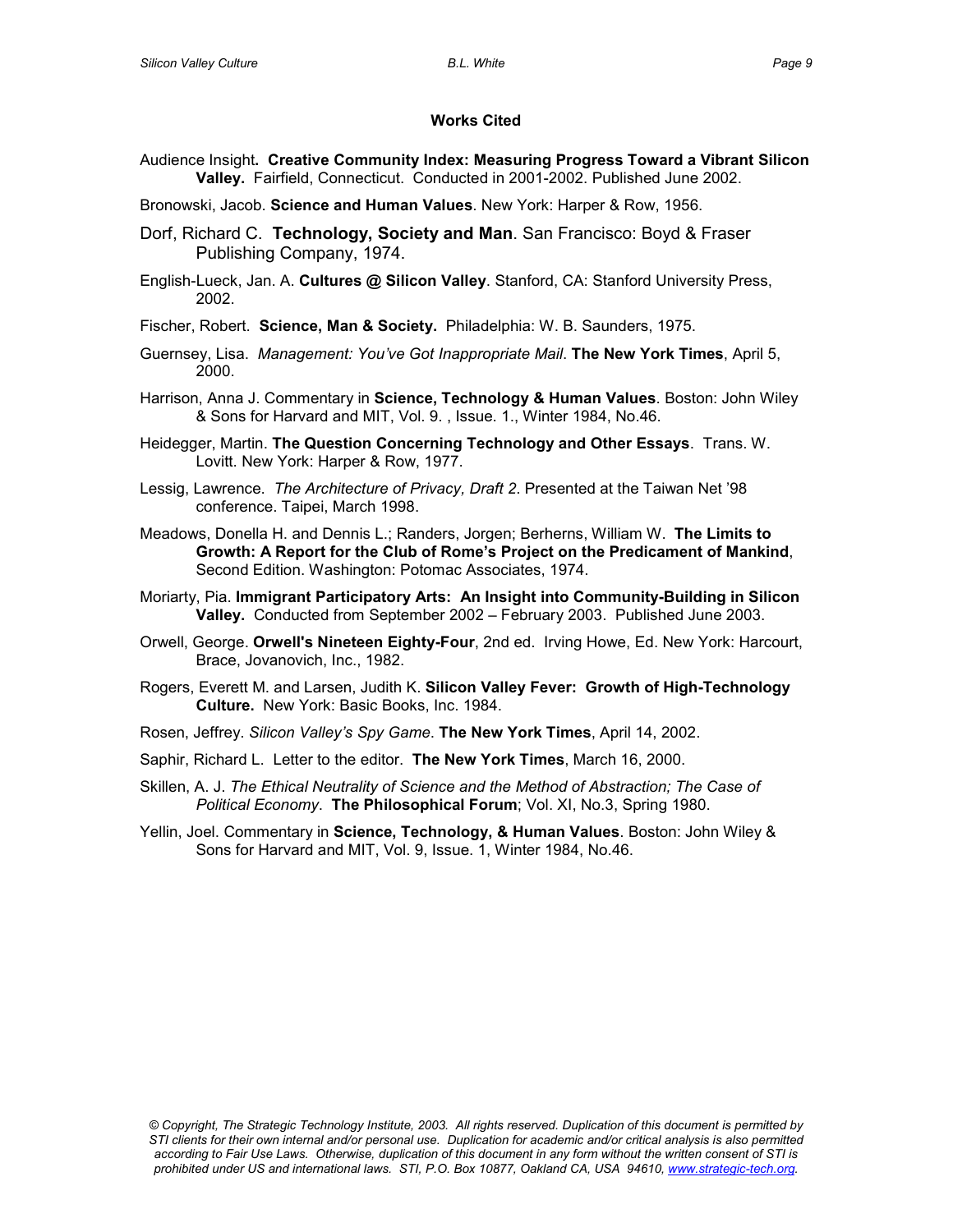# **Works Cited**

- Audience Insight**. Creative Community Index: Measuring Progress Toward a Vibrant Silicon Valley.** Fairfield, Connecticut. Conducted in 2001-2002. Published June 2002.
- Bronowski, Jacob. **Science and Human Values**. New York: Harper & Row, 1956.
- Dorf, Richard C. **Technology, Society and Man**. San Francisco: Boyd & Fraser Publishing Company, 1974.
- English-Lueck, Jan. A. **Cultures @ Silicon Valley**. Stanford, CA: Stanford University Press, 2002.
- Fischer, Robert. **Science, Man & Society.** Philadelphia: W. B. Saunders, 1975.
- Guernsey, Lisa. *Management: You've Got Inappropriate Mail*. **The New York Times**, April 5, 2000.
- Harrison, Anna J. Commentary in **Science, Technology & Human Values**. Boston: John Wiley & Sons for Harvard and MIT, Vol. 9. , Issue. 1., Winter 1984, No.46.
- Heidegger, Martin. **The Question Concerning Technology and Other Essays**. Trans. W. Lovitt. New York: Harper & Row, 1977.
- Lessig, Lawrence. *The Architecture of Privacy, Draft 2*. Presented at the Taiwan Net '98 conference. Taipei, March 1998.
- Meadows, Donella H. and Dennis L.; Randers, Jorgen; Berherns, William W. **The Limits to Growth: A Report for the Club of Rome's Project on the Predicament of Mankind**, Second Edition. Washington: Potomac Associates, 1974.
- Moriarty, Pia. **Immigrant Participatory Arts: An Insight into Community-Building in Silicon Valley.** Conducted from September 2002 – February 2003. Published June 2003.
- Orwell, George. **Orwell's Nineteen Eighty-Four**, 2nd ed. Irving Howe, Ed. New York: Harcourt, Brace, Jovanovich, Inc., 1982.
- Rogers, Everett M. and Larsen, Judith K. **Silicon Valley Fever: Growth of High-Technology Culture.** New York: Basic Books, Inc. 1984.
- Rosen, Jeffrey. *Silicon Valley's Spy Game*. **The New York Times**, April 14, 2002.
- Saphir, Richard L. Letter to the editor. **The New York Times**, March 16, 2000.
- Skillen, A. J. *The Ethical Neutrality of Science and the Method of Abstraction; The Case of Political Economy*. **The Philosophical Forum**; Vol. XI, No.3, Spring 1980.
- Yellin, Joel. Commentary in **Science, Technology, & Human Values**. Boston: John Wiley & Sons for Harvard and MIT, Vol. 9, Issue. 1, Winter 1984, No.46.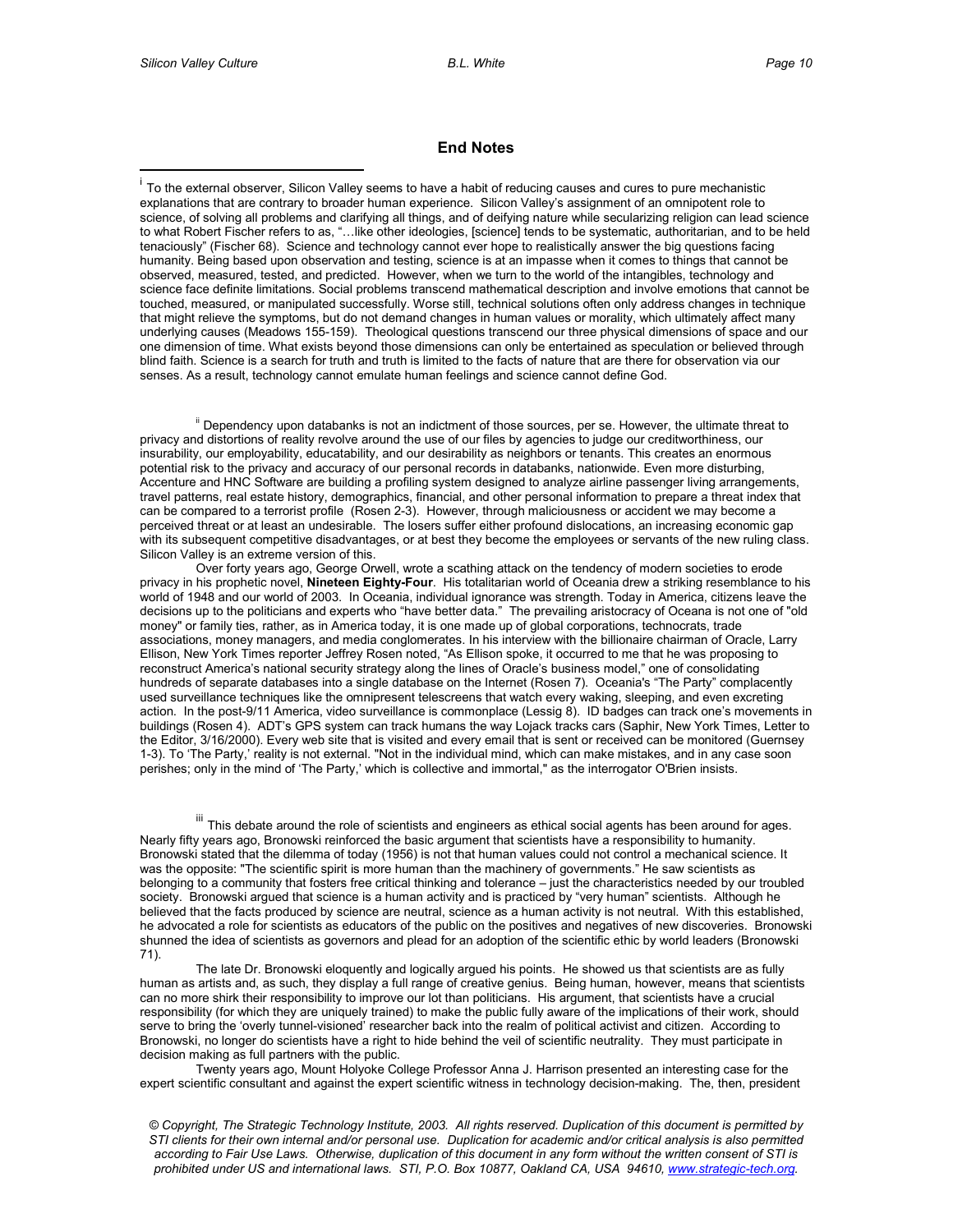$\overline{a}$ 

#### **End Notes**

<sup>i</sup> To the external observer, Silicon Valley seems to have a habit of reducing causes and cures to pure mechanistic explanations that are contrary to broader human experience. Silicon Valley's assignment of an omnipotent role to science, of solving all problems and clarifying all things, and of deifying nature while secularizing religion can lead science to what Robert Fischer refers to as, "…like other ideologies, [science] tends to be systematic, authoritarian, and to be held tenaciously" (Fischer 68). Science and technology cannot ever hope to realistically answer the big questions facing humanity. Being based upon observation and testing, science is at an impasse when it comes to things that cannot be observed, measured, tested, and predicted. However, when we turn to the world of the intangibles, technology and science face definite limitations. Social problems transcend mathematical description and involve emotions that cannot be touched, measured, or manipulated successfully. Worse still, technical solutions often only address changes in technique that might relieve the symptoms, but do not demand changes in human values or morality, which ultimately affect many underlying causes (Meadows 155-159). Theological questions transcend our three physical dimensions of space and our one dimension of time. What exists beyond those dimensions can only be entertained as speculation or believed through blind faith. Science is a search for truth and truth is limited to the facts of nature that are there for observation via our senses. As a result, technology cannot emulate human feelings and science cannot define God.

<sup>ii</sup> Dependency upon databanks is not an indictment of those sources, per se. However, the ultimate threat to privacy and distortions of reality revolve around the use of our files by agencies to judge our creditworthiness, our insurability, our employability, educatability, and our desirability as neighbors or tenants. This creates an enormous potential risk to the privacy and accuracy of our personal records in databanks, nationwide. Even more disturbing, Accenture and HNC Software are building a profiling system designed to analyze airline passenger living arrangements, travel patterns, real estate history, demographics, financial, and other personal information to prepare a threat index that can be compared to a terrorist profile (Rosen 2-3). However, through maliciousness or accident we may become a perceived threat or at least an undesirable. The losers suffer either profound dislocations, an increasing economic gap with its subsequent competitive disadvantages, or at best they become the employees or servants of the new ruling class. Silicon Valley is an extreme version of this.

Over forty years ago, George Orwell, wrote a scathing attack on the tendency of modern societies to erode privacy in his prophetic novel, **Nineteen Eighty-Four**. His totalitarian world of Oceania drew a striking resemblance to his world of 1948 and our world of 2003. In Oceania, individual ignorance was strength. Today in America, citizens leave the decisions up to the politicians and experts who "have better data." The prevailing aristocracy of Oceana is not one of "old money" or family ties, rather, as in America today, it is one made up of global corporations, technocrats, trade associations, money managers, and media conglomerates. In his interview with the billionaire chairman of Oracle, Larry Ellison, New York Times reporter Jeffrey Rosen noted, "As Ellison spoke, it occurred to me that he was proposing to reconstruct America's national security strategy along the lines of Oracle's business model," one of consolidating hundreds of separate databases into a single database on the Internet (Rosen 7). Oceania's "The Party" complacently used surveillance techniques like the omnipresent telescreens that watch every waking, sleeping, and even excreting action. In the post-9/11 America, video surveillance is commonplace (Lessig 8). ID badges can track one's movements in buildings (Rosen 4). ADT's GPS system can track humans the way Lojack tracks cars (Saphir, New York Times, Letter to the Editor, 3/16/2000). Every web site that is visited and every email that is sent or received can be monitored (Guernsey 1-3). To 'The Party,' reality is not external. "Not in the individual mind, which can make mistakes, and in any case soon perishes; only in the mind of 'The Party,' which is collective and immortal," as the interrogator O'Brien insists.

III This debate around the role of scientists and engineers as ethical social agents has been around for ages. Nearly fifty years ago, Bronowski reinforced the basic argument that scientists have a responsibility to humanity. Bronowski stated that the dilemma of today (1956) is not that human values could not control a mechanical science. It was the opposite: "The scientific spirit is more human than the machinery of governments." He saw scientists as belonging to a community that fosters free critical thinking and tolerance – just the characteristics needed by our troubled society. Bronowski argued that science is a human activity and is practiced by "very human" scientists. Although he believed that the facts produced by science are neutral, science as a human activity is not neutral. With this established, he advocated a role for scientists as educators of the public on the positives and negatives of new discoveries. Bronowski shunned the idea of scientists as governors and plead for an adoption of the scientific ethic by world leaders (Bronowski 71).

The late Dr. Bronowski eloquently and logically argued his points. He showed us that scientists are as fully human as artists and, as such, they display a full range of creative genius. Being human, however, means that scientists can no more shirk their responsibility to improve our lot than politicians. His argument, that scientists have a crucial responsibility (for which they are uniquely trained) to make the public fully aware of the implications of their work, should serve to bring the 'overly tunnel-visioned' researcher back into the realm of political activist and citizen. According to Bronowski, no longer do scientists have a right to hide behind the veil of scientific neutrality. They must participate in decision making as full partners with the public.

Twenty years ago, Mount Holyoke College Professor Anna J. Harrison presented an interesting case for the expert scientific consultant and against the expert scientific witness in technology decision-making. The, then, president

*© Copyright, The Strategic Technology Institute, 2003. All rights reserved. Duplication of this document is permitted by STI clients for their own internal and/or personal use. Duplication for academic and/or critical analysis is also permitted according to Fair Use Laws. Otherwise, duplication of this document in any form without the written consent of STI is prohibited under US and international laws. STI, P.O. Box 10877, Oakland CA, USA 94610, www.strategic-tech.org.*